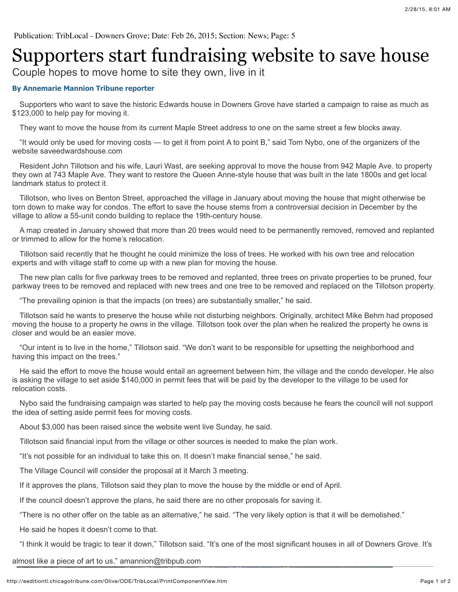## Supporters start fundraising website to save house

Couple hopes to move home to site they own, live in it

## **By Annemarie Mannion Tribune reporter**

 Supporters who want to save the historic Edwards house in Downers Grove have started a campaign to raise as much as \$123,000 to help pay for moving it.

They want to move the house from its current Maple Street address to one on the same street a few blocks away.

 "It would only be used for moving costs — to get it from point A to point B," said Tom Nybo, one of the organizers of the website saveedwardshouse.com

 Resident John Tillotson and his wife, Lauri Wast, are seeking approval to move the house from 942 Maple Ave. to property they own at 743 Maple Ave. They want to restore the Queen Anne-style house that was built in the late 1800s and get local landmark status to protect it.

 Tillotson, who lives on Benton Street, approached the village in January about moving the house that might otherwise be torn down to make way for condos. The effort to save the house stems from a controversial decision in December by the village to allow a 55-unit condo building to replace the 19th-century house.

 A map created in January showed that more than 20 trees would need to be permanently removed, removed and replanted or trimmed to allow for the home's relocation.

 Tillotson said recently that he thought he could minimize the loss of trees. He worked with his own tree and relocation experts and with village staff to come up with a new plan for moving the house.

 The new plan calls for five parkway trees to be removed and replanted, three trees on private properties to be pruned, four parkway trees to be removed and replaced with new trees and one tree to be removed and replaced on the Tillotson property.

"The prevailing opinion is that the impacts (on trees) are substantially smaller," he said.

 Tillotson said he wants to preserve the house while not disturbing neighbors. Originally, architect Mike Behm had proposed moving the house to a property he owns in the village. Tillotson took over the plan when he realized the property he owns is closer and would be an easier move.

 "Our intent is to live in the home," Tillotson said. "We don't want to be responsible for upsetting the neighborhood and having this impact on the trees."

 He said the effort to move the house would entail an agreement between him, the village and the condo developer. He also is asking the village to set aside \$140,000 in permit fees that will be paid by the developer to the village to be used for relocation costs.

 Nybo said the fundraising campaign was started to help pay the moving costs because he fears the council will not support the idea of setting aside permit fees for moving costs.

About \$3,000 has been raised since the website went live Sunday, he said.

Tillotson said financial input from the village or other sources is needed to make the plan work.

"It's not possible for an individual to take this on. It doesn't make financial sense," he said.

The Village Council will consider the proposal at it March 3 meeting.

If it approves the plans, Tillotson said they plan to move the house by the middle or end of April.

If the council doesn't approve the plans, he said there are no other proposals for saving it.

"There is no other offer on the table as an alternative," he said. "The very likely option is that it will be demolished."

He said he hopes it doesn't come to that.

"I think it would be tragic to tear it down," Tillotson said. "It's one of the most significant houses in all of Downers Grove. It's

almost like a piece of art to us." amannion@tribpub.com